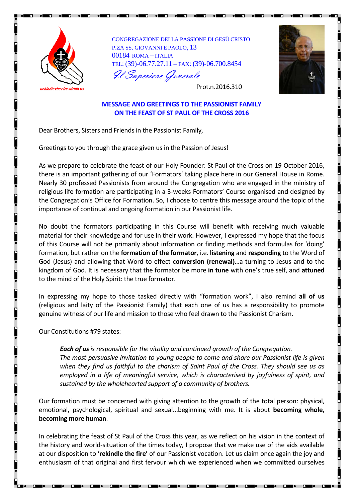

CONGREGAZIONE DELLA PASSIONE DI GESÙ CRISTO P.ZA SS. GIOVANNI E PAOLO, 13 00184 ROMA – ITALIA TEL: (39)-06.77.27.11 – FAX: (39)-06.700.8454 Il Superiore Generale



Prot.n.2016.310

## **MESSAGE AND GREETINGS TO THE PASSIONIST FAMILY ON THE FEAST OF ST PAUL OF THE CROSS 2016**

Dear Brothers, Sisters and Friends in the Passionist Family,

Greetings to you through the grace given us in the Passion of Jesus!

As we prepare to celebrate the feast of our Holy Founder: St Paul of the Cross on 19 October 2016, there is an important gathering of our 'Formators' taking place here in our General House in Rome. Nearly 30 professed Passionists from around the Congregation who are engaged in the ministry of religious life formation are participating in a 3-weeks Formators' Course organised and designed by the Congregation's Office for Formation. So, I choose to centre this message around the topic of the importance of continual and ongoing formation in our Passionist life.

No doubt the formators participating in this Course will benefit with receiving much valuable material for their knowledge and for use in their work. However, I expressed my hope that the focus of this Course will not be primarily about information or finding methods and formulas for 'doing' formation, but rather on the **formation of the formator**, i.e. **listening** and **responding** to the Word of God (Jesus) and allowing that Word to effect **conversion (renewal)**…a turning to Jesus and to the kingdom of God. It is necessary that the formator be more **in tune** with one's true self, and **attuned**  to the mind of the Holy Spirit: the true formator.

In expressing my hope to those tasked directly with "formation work", I also remind **all of us** (religious and laity of the Passionist Family) that each one of us has a responsibility to promote genuine witness of our life and mission to those who feel drawn to the Passionist Charism.

Our Constitutions #79 states:

*Each of usis responsible for the vitality and continued growth of the Congregation. The most persuasive invitation to young people to come and share our Passionist life is given when they find us faithful to the charism of Saint Paul of the Cross. They should see us as employed in a life of meaningful service, which is characterised by joyfulness of spirit, and sustained by the wholehearted support of a community of brothers.*

Our formation must be concerned with giving attention to the growth of the total person: physical, emotional, psychological, spiritual and sexual...beginning with me. It is about **becoming whole, becoming more human**.

In celebrating the feast of St Paul of the Cross this year, as we reflect on his vision in the context of the history and world-situation of the times today, I propose that we make use of the aids available at our disposition to **'rekindle the fire'** of our Passionist vocation. Let us claim once again the joy and enthusiasm of that original and first fervour which we experienced when we committed ourselves